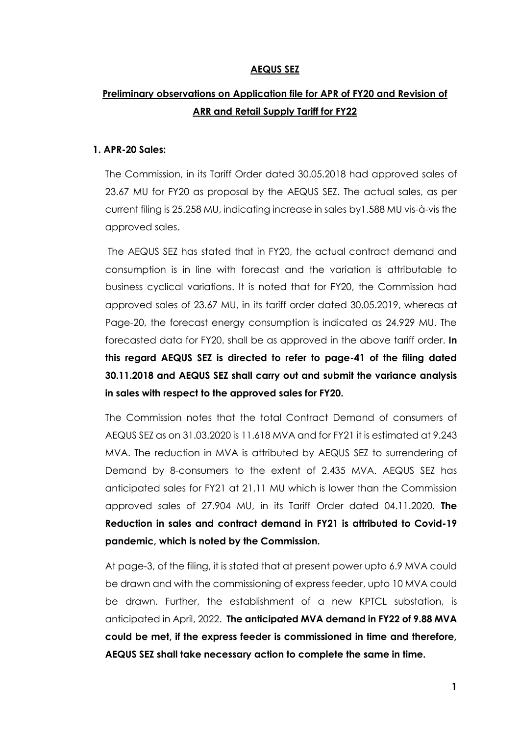# **AEQUS SEZ**

# **Preliminary observations on Application file for APR of FY20 and Revision of ARR and Retail Supply Tariff for FY22**

#### **1. APR-20 Sales:**

The Commission, in its Tariff Order dated 30.05.2018 had approved sales of 23.67 MU for FY20 as proposal by the AEQUS SEZ. The actual sales, as per current filing is 25.258 MU, indicating increase in sales by1.588 MU vis-à-vis the approved sales.

The AEQUS SEZ has stated that in FY20, the actual contract demand and consumption is in line with forecast and the variation is attributable to business cyclical variations. It is noted that for FY20, the Commission had approved sales of 23.67 MU, in its tariff order dated 30.05.2019, whereas at Page-20, the forecast energy consumption is indicated as 24.929 MU. The forecasted data for FY20, shall be as approved in the above tariff order. **In this regard AEQUS SEZ is directed to refer to page-41 of the filing dated 30.11.2018 and AEQUS SEZ shall carry out and submit the variance analysis in sales with respect to the approved sales for FY20.**

The Commission notes that the total Contract Demand of consumers of AEQUS SEZ as on 31.03.2020 is 11.618 MVA and for FY21 it is estimated at 9.243 MVA. The reduction in MVA is attributed by AEQUS SEZ to surrendering of Demand by 8-consumers to the extent of 2.435 MVA. AEQUS SEZ has anticipated sales for FY21 at 21.11 MU which is lower than the Commission approved sales of 27.904 MU, in its Tariff Order dated 04.11.2020. **The Reduction in sales and contract demand in FY21 is attributed to Covid-19 pandemic, which is noted by the Commission.**

At page-3, of the filing, it is stated that at present power upto 6.9 MVA could be drawn and with the commissioning of express feeder, upto 10 MVA could be drawn. Further, the establishment of a new KPTCL substation, is anticipated in April, 2022. **The anticipated MVA demand in FY22 of 9.88 MVA could be met, if the express feeder is commissioned in time and therefore, AEQUS SEZ shall take necessary action to complete the same in time.**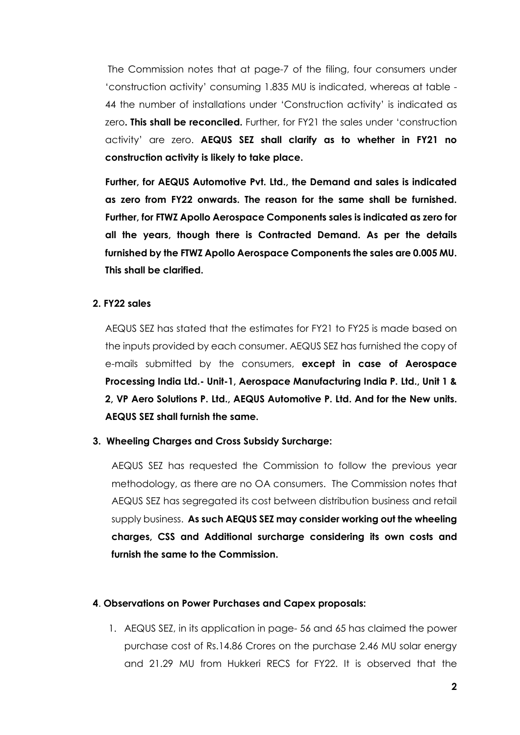The Commission notes that at page-7 of the filing, four consumers under 'construction activity' consuming 1.835 MU is indicated, whereas at table - 44 the number of installations under 'Construction activity' is indicated as zero**. This shall be reconciled.** Further, for FY21 the sales under 'construction activity' are zero. **AEQUS SEZ shall clarify as to whether in FY21 no construction activity is likely to take place.**

**Further, for AEQUS Automotive Pvt. Ltd., the Demand and sales is indicated as zero from FY22 onwards. The reason for the same shall be furnished. Further, for FTWZ Apollo Aerospace Components sales is indicated as zero for all the years, though there is Contracted Demand. As per the details furnished by the FTWZ Apollo Aerospace Components the sales are 0.005 MU. This shall be clarified.**

# **2. FY22 sales**

AEQUS SEZ has stated that the estimates for FY21 to FY25 is made based on the inputs provided by each consumer. AEQUS SEZ has furnished the copy of e-mails submitted by the consumers, **except in case of Aerospace Processing India Ltd.- Unit-1, Aerospace Manufacturing India P. Ltd., Unit 1 & 2, VP Aero Solutions P. Ltd., AEQUS Automotive P. Ltd. And for the New units. AEQUS SEZ shall furnish the same.**

### **3. Wheeling Charges and Cross Subsidy Surcharge:**

AEQUS SEZ has requested the Commission to follow the previous year methodology, as there are no OA consumers. The Commission notes that AEQUS SEZ has segregated its cost between distribution business and retail supply business. **As such AEQUS SEZ may consider working out the wheeling charges, CSS and Additional surcharge considering its own costs and furnish the same to the Commission.**

#### **4**. **Observations on Power Purchases and Capex proposals:**

1. AEQUS SEZ, in its application in page- 56 and 65 has claimed the power purchase cost of Rs.14.86 Crores on the purchase 2.46 MU solar energy and 21.29 MU from Hukkeri RECS for FY22. It is observed that the